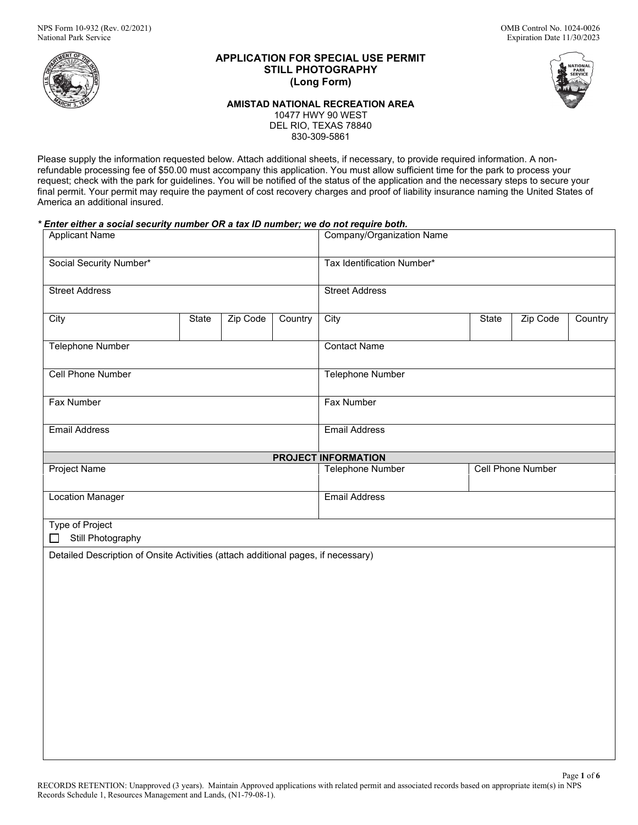

# **APPLICATION FOR SPECIAL USE PERMIT STILL PHOTOGRAPHY (Long Form)**

**AMISTAD NATIONAL RECREATION AREA**

10477 HWY 90 WEST DEL RIO, TEXAS 78840

830-309-5861

Please supply the information requested below. Attach additional sheets, if necessary, to provide required information. A nonrefundable processing fee of \$50.00 must accompany this application. You must allow sufficient time for the park to process your request; check with the park for guidelines. You will be notified of the status of the application and the necessary steps to secure your final permit. Your permit may require the payment of cost recovery charges and proof of liability insurance naming the United States of America an additional insured.

# *\* Enter either a social security number OR a tax ID number; we do not require both.*

| <b>Applicant Name</b>                                                             |       |          |         | Company/Organization Name  |       |                          |         |  |
|-----------------------------------------------------------------------------------|-------|----------|---------|----------------------------|-------|--------------------------|---------|--|
| Social Security Number*                                                           |       |          |         | Tax Identification Number* |       |                          |         |  |
| <b>Street Address</b>                                                             |       |          |         | <b>Street Address</b>      |       |                          |         |  |
| City                                                                              | State | Zip Code | Country | City                       | State | Zip Code                 | Country |  |
| <b>Telephone Number</b>                                                           |       |          |         | <b>Contact Name</b>        |       |                          |         |  |
| <b>Cell Phone Number</b>                                                          |       |          |         | Telephone Number           |       |                          |         |  |
| Fax Number                                                                        |       |          |         | Fax Number                 |       |                          |         |  |
| <b>Email Address</b>                                                              |       |          |         | <b>Email Address</b>       |       |                          |         |  |
|                                                                                   |       |          |         | <b>PROJECT INFORMATION</b> |       |                          |         |  |
| <b>Project Name</b>                                                               |       |          |         | <b>Telephone Number</b>    |       | <b>Cell Phone Number</b> |         |  |
| <b>Location Manager</b>                                                           |       |          |         | <b>Email Address</b>       |       |                          |         |  |
| <b>Type of Project</b><br>Still Photography                                       |       |          |         |                            |       |                          |         |  |
| Detailed Description of Onsite Activities (attach additional pages, if necessary) |       |          |         |                            |       |                          |         |  |
|                                                                                   |       |          |         |                            |       |                          |         |  |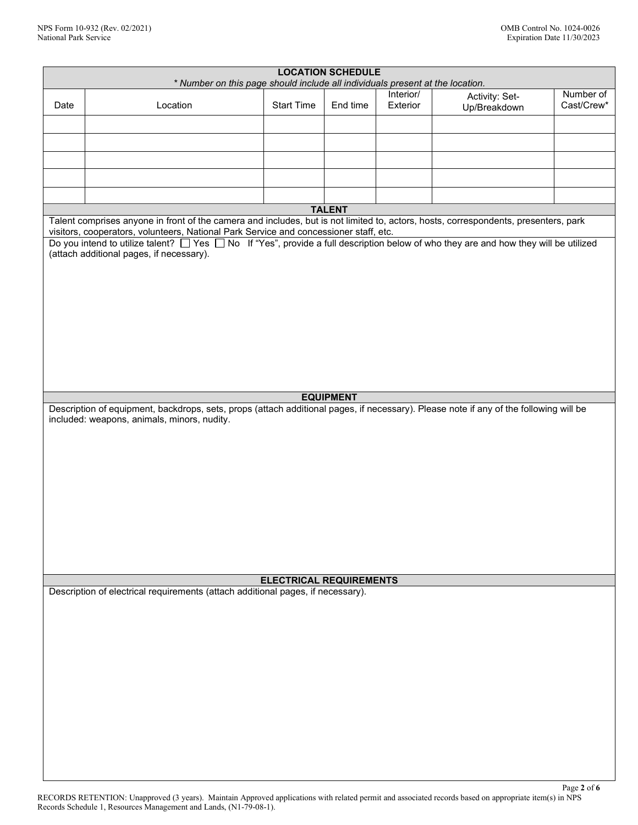|                                                                                                                                                                                      |                                                                                                                                                                                                                               |                                | <b>LOCATION SCHEDULE</b> |                       |                                |                         |
|--------------------------------------------------------------------------------------------------------------------------------------------------------------------------------------|-------------------------------------------------------------------------------------------------------------------------------------------------------------------------------------------------------------------------------|--------------------------------|--------------------------|-----------------------|--------------------------------|-------------------------|
|                                                                                                                                                                                      | * Number on this page should include all individuals present at the location.                                                                                                                                                 |                                |                          |                       |                                |                         |
| Date                                                                                                                                                                                 | Location                                                                                                                                                                                                                      | <b>Start Time</b>              | End time                 | Interior/<br>Exterior | Activity: Set-<br>Up/Breakdown | Number of<br>Cast/Crew* |
|                                                                                                                                                                                      |                                                                                                                                                                                                                               |                                |                          |                       |                                |                         |
|                                                                                                                                                                                      |                                                                                                                                                                                                                               |                                |                          |                       |                                |                         |
|                                                                                                                                                                                      |                                                                                                                                                                                                                               |                                |                          |                       |                                |                         |
|                                                                                                                                                                                      |                                                                                                                                                                                                                               |                                |                          |                       |                                |                         |
|                                                                                                                                                                                      |                                                                                                                                                                                                                               |                                |                          |                       |                                |                         |
|                                                                                                                                                                                      |                                                                                                                                                                                                                               |                                | <b>TALENT</b>            |                       |                                |                         |
|                                                                                                                                                                                      | Talent comprises anyone in front of the camera and includes, but is not limited to, actors, hosts, correspondents, presenters, park                                                                                           |                                |                          |                       |                                |                         |
|                                                                                                                                                                                      | visitors, cooperators, volunteers, National Park Service and concessioner staff, etc.<br>Do you intend to utilize talent? □ Yes □ No If "Yes", provide a full description below of who they are and how they will be utilized |                                |                          |                       |                                |                         |
|                                                                                                                                                                                      | (attach additional pages, if necessary).                                                                                                                                                                                      |                                |                          |                       |                                |                         |
|                                                                                                                                                                                      |                                                                                                                                                                                                                               |                                |                          |                       |                                |                         |
|                                                                                                                                                                                      |                                                                                                                                                                                                                               |                                |                          |                       |                                |                         |
|                                                                                                                                                                                      |                                                                                                                                                                                                                               |                                |                          |                       |                                |                         |
|                                                                                                                                                                                      |                                                                                                                                                                                                                               |                                |                          |                       |                                |                         |
|                                                                                                                                                                                      |                                                                                                                                                                                                                               |                                |                          |                       |                                |                         |
|                                                                                                                                                                                      |                                                                                                                                                                                                                               |                                |                          |                       |                                |                         |
|                                                                                                                                                                                      |                                                                                                                                                                                                                               |                                |                          |                       |                                |                         |
|                                                                                                                                                                                      |                                                                                                                                                                                                                               |                                |                          |                       |                                |                         |
|                                                                                                                                                                                      |                                                                                                                                                                                                                               |                                |                          |                       |                                |                         |
|                                                                                                                                                                                      |                                                                                                                                                                                                                               |                                | <b>EQUIPMENT</b>         |                       |                                |                         |
| Description of equipment, backdrops, sets, props (attach additional pages, if necessary). Please note if any of the following will be<br>included: weapons, animals, minors, nudity. |                                                                                                                                                                                                                               |                                |                          |                       |                                |                         |
|                                                                                                                                                                                      |                                                                                                                                                                                                                               |                                |                          |                       |                                |                         |
|                                                                                                                                                                                      |                                                                                                                                                                                                                               |                                |                          |                       |                                |                         |
|                                                                                                                                                                                      |                                                                                                                                                                                                                               |                                |                          |                       |                                |                         |
|                                                                                                                                                                                      |                                                                                                                                                                                                                               |                                |                          |                       |                                |                         |
|                                                                                                                                                                                      |                                                                                                                                                                                                                               |                                |                          |                       |                                |                         |
|                                                                                                                                                                                      |                                                                                                                                                                                                                               |                                |                          |                       |                                |                         |
|                                                                                                                                                                                      |                                                                                                                                                                                                                               |                                |                          |                       |                                |                         |
|                                                                                                                                                                                      |                                                                                                                                                                                                                               |                                |                          |                       |                                |                         |
|                                                                                                                                                                                      |                                                                                                                                                                                                                               |                                |                          |                       |                                |                         |
|                                                                                                                                                                                      |                                                                                                                                                                                                                               |                                |                          |                       |                                |                         |
|                                                                                                                                                                                      |                                                                                                                                                                                                                               | <b>ELECTRICAL REQUIREMENTS</b> |                          |                       |                                |                         |
|                                                                                                                                                                                      | Description of electrical requirements (attach additional pages, if necessary).                                                                                                                                               |                                |                          |                       |                                |                         |
|                                                                                                                                                                                      |                                                                                                                                                                                                                               |                                |                          |                       |                                |                         |
|                                                                                                                                                                                      |                                                                                                                                                                                                                               |                                |                          |                       |                                |                         |
|                                                                                                                                                                                      |                                                                                                                                                                                                                               |                                |                          |                       |                                |                         |
|                                                                                                                                                                                      |                                                                                                                                                                                                                               |                                |                          |                       |                                |                         |
|                                                                                                                                                                                      |                                                                                                                                                                                                                               |                                |                          |                       |                                |                         |
|                                                                                                                                                                                      |                                                                                                                                                                                                                               |                                |                          |                       |                                |                         |
|                                                                                                                                                                                      |                                                                                                                                                                                                                               |                                |                          |                       |                                |                         |
|                                                                                                                                                                                      |                                                                                                                                                                                                                               |                                |                          |                       |                                |                         |
|                                                                                                                                                                                      |                                                                                                                                                                                                                               |                                |                          |                       |                                |                         |
|                                                                                                                                                                                      |                                                                                                                                                                                                                               |                                |                          |                       |                                |                         |
|                                                                                                                                                                                      |                                                                                                                                                                                                                               |                                |                          |                       |                                |                         |
|                                                                                                                                                                                      |                                                                                                                                                                                                                               |                                |                          |                       |                                |                         |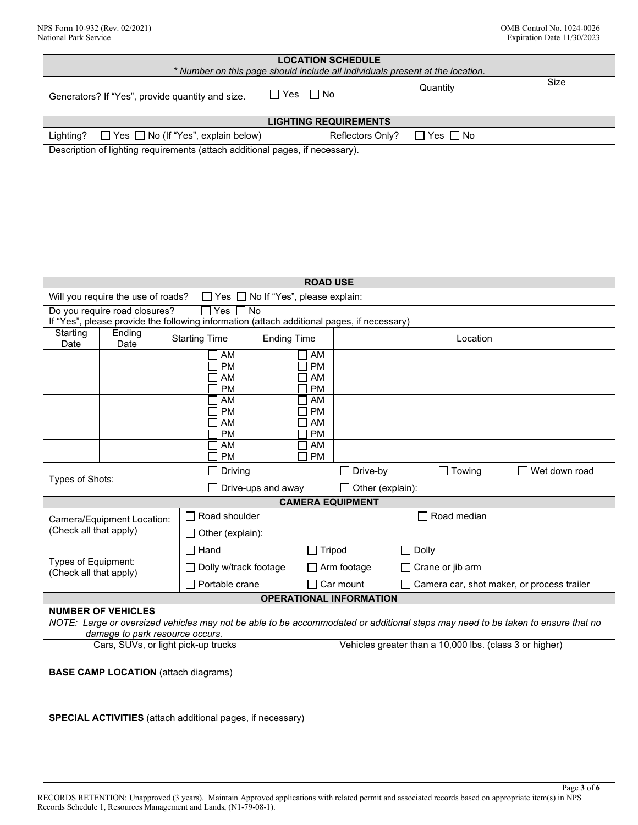| <b>LOCATION SCHEDULE</b><br>* Number on this page should include all individuals present at the location. |                                                                                  |  |                                                                                            |                |                    |          |                                                                                                                                 |                      |
|-----------------------------------------------------------------------------------------------------------|----------------------------------------------------------------------------------|--|--------------------------------------------------------------------------------------------|----------------|--------------------|----------|---------------------------------------------------------------------------------------------------------------------------------|----------------------|
|                                                                                                           |                                                                                  |  |                                                                                            |                |                    |          |                                                                                                                                 | Size                 |
|                                                                                                           |                                                                                  |  | Generators? If "Yes", provide quantity and size.                                           | $\Box$ Yes     | $\Box$ No          |          | Quantity                                                                                                                        |                      |
|                                                                                                           | <b>LIGHTING REQUIREMENTS</b>                                                     |  |                                                                                            |                |                    |          |                                                                                                                                 |                      |
| $\Box$ Yes $\Box$ No (If "Yes", explain below)<br>$\Box$ Yes $\Box$ No<br>Lighting?<br>Reflectors Only?   |                                                                                  |  |                                                                                            |                |                    |          |                                                                                                                                 |                      |
|                                                                                                           |                                                                                  |  | Description of lighting requirements (attach additional pages, if necessary).              |                |                    |          |                                                                                                                                 |                      |
|                                                                                                           |                                                                                  |  |                                                                                            |                |                    |          |                                                                                                                                 |                      |
|                                                                                                           |                                                                                  |  |                                                                                            |                |                    |          |                                                                                                                                 |                      |
|                                                                                                           |                                                                                  |  |                                                                                            |                |                    |          |                                                                                                                                 |                      |
|                                                                                                           |                                                                                  |  |                                                                                            |                |                    |          |                                                                                                                                 |                      |
|                                                                                                           |                                                                                  |  |                                                                                            |                |                    |          |                                                                                                                                 |                      |
|                                                                                                           |                                                                                  |  |                                                                                            |                |                    |          |                                                                                                                                 |                      |
|                                                                                                           |                                                                                  |  |                                                                                            |                |                    |          |                                                                                                                                 |                      |
|                                                                                                           |                                                                                  |  |                                                                                            |                |                    |          |                                                                                                                                 |                      |
|                                                                                                           |                                                                                  |  |                                                                                            |                | <b>ROAD USE</b>    |          |                                                                                                                                 |                      |
|                                                                                                           | Will you require the use of roads?                                               |  | $\Box$ Yes $\Box$ No If "Yes", please explain:                                             |                |                    |          |                                                                                                                                 |                      |
|                                                                                                           | Do you require road closures?                                                    |  | $\sqcap$ Yes                                                                               | $\overline{N}$ |                    |          |                                                                                                                                 |                      |
|                                                                                                           |                                                                                  |  | If "Yes", please provide the following information (attach additional pages, if necessary) |                |                    |          |                                                                                                                                 |                      |
| Starting<br>Date                                                                                          | Ending<br>Date                                                                   |  | <b>Starting Time</b>                                                                       |                | <b>Ending Time</b> |          | Location                                                                                                                        |                      |
|                                                                                                           |                                                                                  |  | AM                                                                                         |                | AM                 |          |                                                                                                                                 |                      |
|                                                                                                           |                                                                                  |  | <b>PM</b>                                                                                  |                | <b>PM</b>          |          |                                                                                                                                 |                      |
|                                                                                                           |                                                                                  |  | AM<br><b>PM</b>                                                                            |                | AM<br><b>PM</b>    |          |                                                                                                                                 |                      |
|                                                                                                           |                                                                                  |  | AM                                                                                         |                | AM                 |          |                                                                                                                                 |                      |
|                                                                                                           |                                                                                  |  | <b>PM</b>                                                                                  |                | <b>PM</b>          |          |                                                                                                                                 |                      |
|                                                                                                           |                                                                                  |  | AM<br><b>PM</b>                                                                            |                | AM<br><b>PM</b>    |          |                                                                                                                                 |                      |
|                                                                                                           |                                                                                  |  | AM                                                                                         |                | AM                 |          |                                                                                                                                 |                      |
|                                                                                                           |                                                                                  |  | <b>PM</b>                                                                                  |                | PM                 |          |                                                                                                                                 |                      |
|                                                                                                           | Driving                                                                          |  |                                                                                            |                |                    | Drive-by | $\Box$ Towing                                                                                                                   | $\Box$ Wet down road |
|                                                                                                           | Types of Shots:<br>Drive-ups and away<br>$\Box$ Other (explain):                 |  |                                                                                            |                |                    |          |                                                                                                                                 |                      |
| <b>CAMERA EQUIPMENT</b>                                                                                   |                                                                                  |  |                                                                                            |                |                    |          |                                                                                                                                 |                      |
| $\Box$ Road shoulder<br>$\Box$ Road median<br>Camera/Equipment Location:                                  |                                                                                  |  |                                                                                            |                |                    |          |                                                                                                                                 |                      |
| (Check all that apply)                                                                                    |                                                                                  |  | Other (explain):                                                                           |                |                    |          |                                                                                                                                 |                      |
|                                                                                                           |                                                                                  |  | $\Box$ Hand                                                                                |                | $\Box$ Tripod      |          | $\Box$ Dolly                                                                                                                    |                      |
| Types of Equipment:                                                                                       |                                                                                  |  | Dolly w/track footage                                                                      |                | $\Box$ Arm footage |          | $\Box$ Crane or jib arm                                                                                                         |                      |
| (Check all that apply)                                                                                    |                                                                                  |  |                                                                                            |                |                    |          |                                                                                                                                 |                      |
|                                                                                                           | $\Box$ Car mount<br>Portable crane<br>Camera car, shot maker, or process trailer |  |                                                                                            |                |                    |          |                                                                                                                                 |                      |
| <b>OPERATIONAL INFORMATION</b><br><b>NUMBER OF VEHICLES</b>                                               |                                                                                  |  |                                                                                            |                |                    |          |                                                                                                                                 |                      |
|                                                                                                           |                                                                                  |  |                                                                                            |                |                    |          | NOTE: Large or oversized vehicles may not be able to be accommodated or additional steps may need to be taken to ensure that no |                      |
| damage to park resource occurs.                                                                           |                                                                                  |  |                                                                                            |                |                    |          |                                                                                                                                 |                      |
| Vehicles greater than a 10,000 lbs. (class 3 or higher)<br>Cars, SUVs, or light pick-up trucks            |                                                                                  |  |                                                                                            |                |                    |          |                                                                                                                                 |                      |
| <b>BASE CAMP LOCATION</b> (attach diagrams)                                                               |                                                                                  |  |                                                                                            |                |                    |          |                                                                                                                                 |                      |
|                                                                                                           |                                                                                  |  |                                                                                            |                |                    |          |                                                                                                                                 |                      |
|                                                                                                           |                                                                                  |  |                                                                                            |                |                    |          |                                                                                                                                 |                      |
| <b>SPECIAL ACTIVITIES</b> (attach additional pages, if necessary)                                         |                                                                                  |  |                                                                                            |                |                    |          |                                                                                                                                 |                      |
|                                                                                                           |                                                                                  |  |                                                                                            |                |                    |          |                                                                                                                                 |                      |
|                                                                                                           |                                                                                  |  |                                                                                            |                |                    |          |                                                                                                                                 |                      |
|                                                                                                           |                                                                                  |  |                                                                                            |                |                    |          |                                                                                                                                 |                      |
|                                                                                                           |                                                                                  |  |                                                                                            |                |                    |          |                                                                                                                                 |                      |
|                                                                                                           |                                                                                  |  |                                                                                            |                |                    |          |                                                                                                                                 | Page 3 of 6          |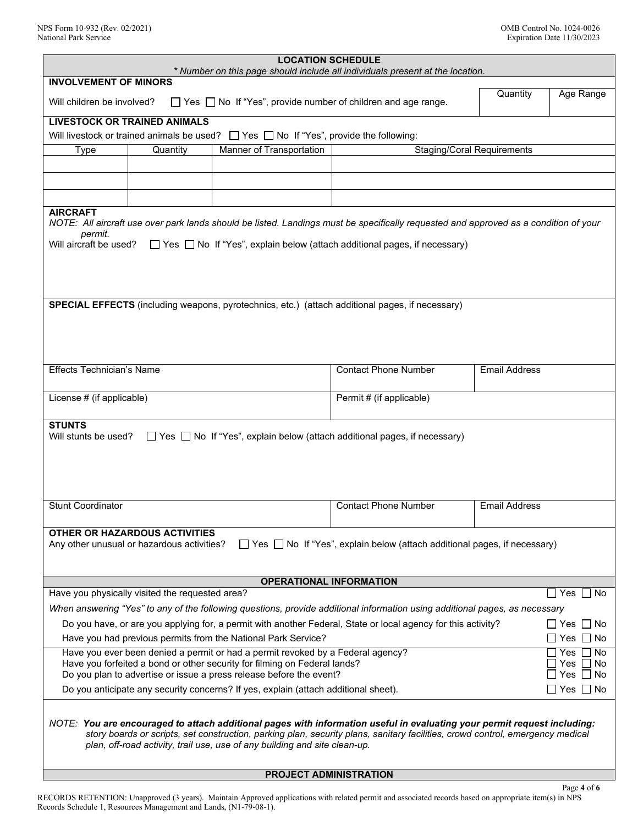| <b>LOCATION SCHEDULE</b>                                                                                                                                                                                                                                                                                                                                           |                                                                                                 |                                                                                                  |                             |                      |  |  |  |
|--------------------------------------------------------------------------------------------------------------------------------------------------------------------------------------------------------------------------------------------------------------------------------------------------------------------------------------------------------------------|-------------------------------------------------------------------------------------------------|--------------------------------------------------------------------------------------------------|-----------------------------|----------------------|--|--|--|
| * Number on this page should include all individuals present at the location.<br><b>INVOLVEMENT OF MINORS</b>                                                                                                                                                                                                                                                      |                                                                                                 |                                                                                                  |                             |                      |  |  |  |
| Quantity<br>Age Range<br>Will children be involved?<br>$\Box$ Yes $\Box$ No If "Yes", provide number of children and age range.                                                                                                                                                                                                                                    |                                                                                                 |                                                                                                  |                             |                      |  |  |  |
|                                                                                                                                                                                                                                                                                                                                                                    | <b>LIVESTOCK OR TRAINED ANIMALS</b>                                                             |                                                                                                  |                             |                      |  |  |  |
|                                                                                                                                                                                                                                                                                                                                                                    |                                                                                                 | Will livestock or trained animals be used? $\Box$ Yes $\Box$ No If "Yes", provide the following: |                             |                      |  |  |  |
| Manner of Transportation<br><b>Staging/Coral Requirements</b><br><b>Type</b><br>Quantity                                                                                                                                                                                                                                                                           |                                                                                                 |                                                                                                  |                             |                      |  |  |  |
|                                                                                                                                                                                                                                                                                                                                                                    |                                                                                                 |                                                                                                  |                             |                      |  |  |  |
|                                                                                                                                                                                                                                                                                                                                                                    |                                                                                                 |                                                                                                  |                             |                      |  |  |  |
|                                                                                                                                                                                                                                                                                                                                                                    |                                                                                                 |                                                                                                  |                             |                      |  |  |  |
| <b>AIRCRAFT</b><br>NOTE: All aircraft use over park lands should be listed. Landings must be specifically requested and approved as a condition of your<br>permit.<br>Will aircraft be used?<br>$\Box$ Yes $\Box$ No If "Yes", explain below (attach additional pages, if necessary)                                                                               |                                                                                                 |                                                                                                  |                             |                      |  |  |  |
|                                                                                                                                                                                                                                                                                                                                                                    |                                                                                                 |                                                                                                  |                             |                      |  |  |  |
|                                                                                                                                                                                                                                                                                                                                                                    | SPECIAL EFFECTS (including weapons, pyrotechnics, etc.) (attach additional pages, if necessary) |                                                                                                  |                             |                      |  |  |  |
| <b>Effects Technician's Name</b>                                                                                                                                                                                                                                                                                                                                   |                                                                                                 |                                                                                                  | <b>Contact Phone Number</b> | <b>Email Address</b> |  |  |  |
| License # (if applicable)<br>Permit # (if applicable)                                                                                                                                                                                                                                                                                                              |                                                                                                 |                                                                                                  |                             |                      |  |  |  |
| <b>STUNTS</b><br>Will stunts be used?<br>$\Box$ Yes $\Box$ No If "Yes", explain below (attach additional pages, if necessary)                                                                                                                                                                                                                                      |                                                                                                 |                                                                                                  |                             |                      |  |  |  |
| <b>Stunt Coordinator</b>                                                                                                                                                                                                                                                                                                                                           |                                                                                                 |                                                                                                  | <b>Contact Phone Number</b> | <b>Email Address</b> |  |  |  |
| OTHER OR HAZARDOUS ACTIVITIES<br>Any other unusual or hazardous activities?<br>◯ Yes ◯ No If "Yes", explain below (attach additional pages, if necessary)                                                                                                                                                                                                          |                                                                                                 |                                                                                                  |                             |                      |  |  |  |
| <b>OPERATIONAL INFORMATION</b>                                                                                                                                                                                                                                                                                                                                     |                                                                                                 |                                                                                                  |                             |                      |  |  |  |
| Have you physically visited the requested area?<br>$\Box$ Yes $\Box$ No                                                                                                                                                                                                                                                                                            |                                                                                                 |                                                                                                  |                             |                      |  |  |  |
| When answering "Yes" to any of the following questions, provide additional information using additional pages, as necessary                                                                                                                                                                                                                                        |                                                                                                 |                                                                                                  |                             |                      |  |  |  |
| Do you have, or are you applying for, a permit with another Federal, State or local agency for this activity?<br>∏ Yes<br>$\Box$ No                                                                                                                                                                                                                                |                                                                                                 |                                                                                                  |                             |                      |  |  |  |
| Have you had previous permits from the National Park Service?<br>Yes<br>No                                                                                                                                                                                                                                                                                         |                                                                                                 |                                                                                                  |                             |                      |  |  |  |
| Have you ever been denied a permit or had a permit revoked by a Federal agency?<br>Yes<br>No<br>Have you forfeited a bond or other security for filming on Federal lands?<br>Yes<br>No.<br>Do you plan to advertise or issue a press release before the event?<br>Yes<br>No                                                                                        |                                                                                                 |                                                                                                  |                             |                      |  |  |  |
| Do you anticipate any security concerns? If yes, explain (attach additional sheet).<br>  Yes     No                                                                                                                                                                                                                                                                |                                                                                                 |                                                                                                  |                             |                      |  |  |  |
| NOTE: You are encouraged to attach additional pages with information useful in evaluating your permit request including:<br>story boards or scripts, set construction, parking plan, security plans, sanitary facilities, crowd control, emergency medical<br>plan, off-road activity, trail use, use of any building and site clean-up.<br>PROJECT ADMINISTRATION |                                                                                                 |                                                                                                  |                             |                      |  |  |  |
|                                                                                                                                                                                                                                                                                                                                                                    |                                                                                                 |                                                                                                  |                             |                      |  |  |  |

Page **4** of **6** RECORDS RETENTION: Unapproved (3 years). Maintain Approved applications with related permit and associated records based on appropriate item(s) in NPS Records Schedule 1, Resources Management and Lands, (N1-79-08-1).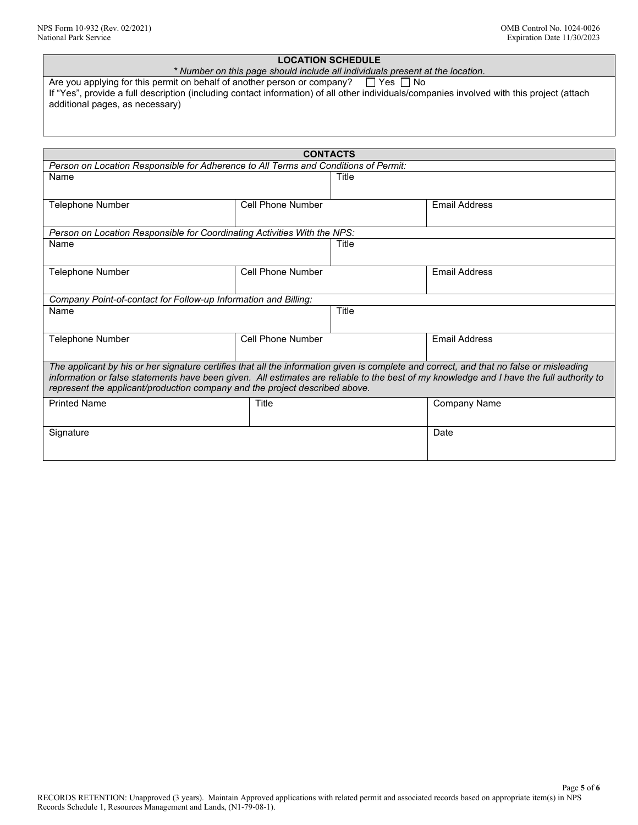# **LOCATION SCHEDULE**

*\* Number on this page should include all individuals present at the location.*

Are you applying for this permit on behalf of another person or company?  $\Box$  Yes  $\Box$  No If "Yes", provide a full description (including contact information) of all other individuals/companies involved with this project (attach additional pages, as necessary)

| <b>CONTACTS</b>                                                                                                                          |                   |              |                      |  |  |  |  |
|------------------------------------------------------------------------------------------------------------------------------------------|-------------------|--------------|----------------------|--|--|--|--|
| Person on Location Responsible for Adherence to All Terms and Conditions of Permit:                                                      |                   |              |                      |  |  |  |  |
| Name                                                                                                                                     |                   | Title        |                      |  |  |  |  |
|                                                                                                                                          |                   |              |                      |  |  |  |  |
| <b>Telephone Number</b>                                                                                                                  | Cell Phone Number |              | <b>Email Address</b> |  |  |  |  |
|                                                                                                                                          |                   |              |                      |  |  |  |  |
| Person on Location Responsible for Coordinating Activities With the NPS:                                                                 |                   |              |                      |  |  |  |  |
| Name                                                                                                                                     |                   | Title        |                      |  |  |  |  |
|                                                                                                                                          |                   |              |                      |  |  |  |  |
| <b>Telephone Number</b>                                                                                                                  | Cell Phone Number |              | <b>Email Address</b> |  |  |  |  |
|                                                                                                                                          |                   |              |                      |  |  |  |  |
| Company Point-of-contact for Follow-up Information and Billing:                                                                          |                   |              |                      |  |  |  |  |
| Name                                                                                                                                     |                   | <b>Title</b> |                      |  |  |  |  |
|                                                                                                                                          |                   |              |                      |  |  |  |  |
| <b>Telephone Number</b>                                                                                                                  | Cell Phone Number |              | <b>Email Address</b> |  |  |  |  |
|                                                                                                                                          |                   |              |                      |  |  |  |  |
| The applicant by his or her signature certifies that all the information given is complete and correct, and that no false or misleading  |                   |              |                      |  |  |  |  |
| information or false statements have been given. All estimates are reliable to the best of my knowledge and I have the full authority to |                   |              |                      |  |  |  |  |
| represent the applicant/production company and the project described above.                                                              |                   |              |                      |  |  |  |  |
| <b>Printed Name</b>                                                                                                                      | Title             |              | Company Name         |  |  |  |  |
|                                                                                                                                          |                   |              |                      |  |  |  |  |
| Signature                                                                                                                                |                   |              | Date                 |  |  |  |  |
|                                                                                                                                          |                   |              |                      |  |  |  |  |
|                                                                                                                                          |                   |              |                      |  |  |  |  |